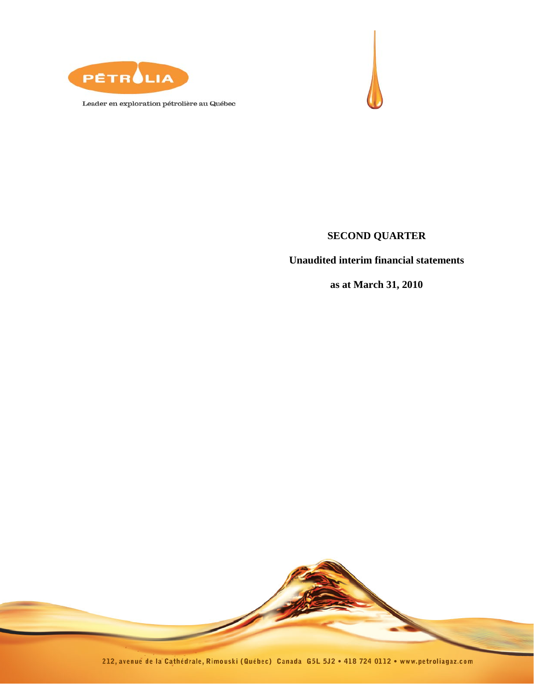

Leader en exploration pétrolière au Québec



# **SECOND QUARTER**

**Unaudited interim financial statements** 

**as at March 31, 2010** 

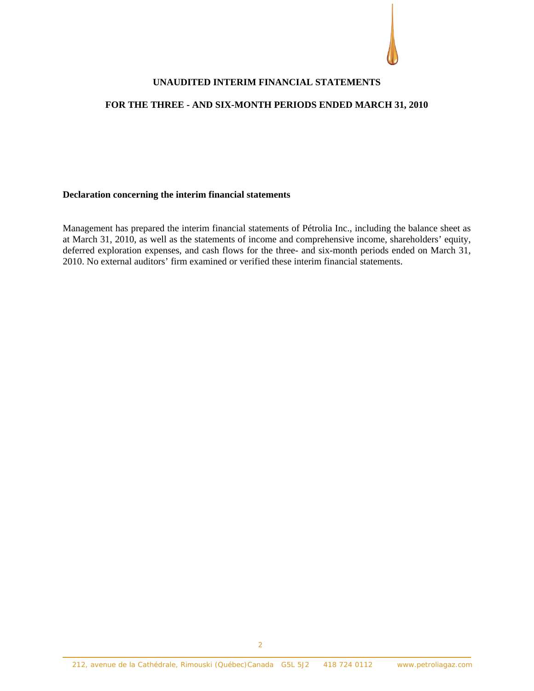#### **UNAUDITED INTERIM FINANCIAL STATEMENTS**

#### **FOR THE THREE - AND SIX-MONTH PERIODS ENDED MARCH 31, 2010**

#### **Declaration concerning the interim financial statements**

Management has prepared the interim financial statements of Pétrolia Inc., including the balance sheet as at March 31, 2010, as well as the statements of income and comprehensive income, shareholders' equity, deferred exploration expenses, and cash flows for the three- and six-month periods ended on March 31, 2010. No external auditors' firm examined or verified these interim financial statements.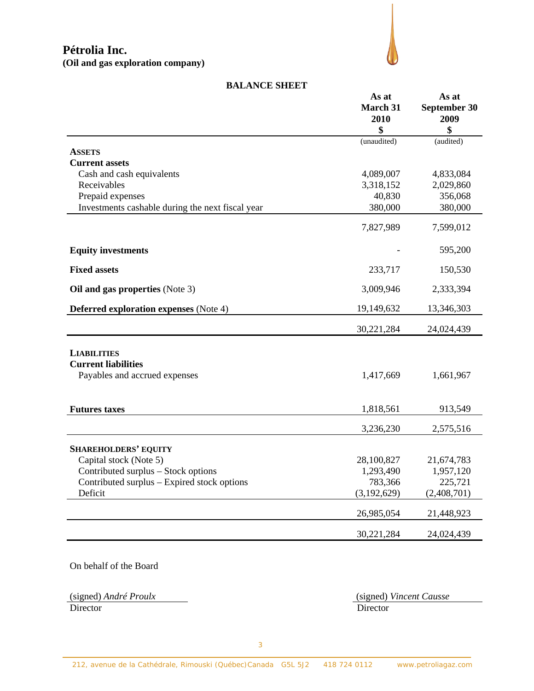**(Oil and gas exploration company)**



#### **BALANCE SHEET**

|                                                  | As at<br><b>March 31</b><br>2010<br>\$ | As at<br>September 30<br>2009<br>\$ |
|--------------------------------------------------|----------------------------------------|-------------------------------------|
|                                                  | (unaudited)                            | (audited)                           |
| <b>ASSETS</b>                                    |                                        |                                     |
| <b>Current assets</b>                            |                                        |                                     |
| Cash and cash equivalents                        | 4,089,007                              | 4,833,084                           |
| Receivables                                      | 3,318,152                              | 2,029,860                           |
| Prepaid expenses                                 | 40,830                                 | 356,068                             |
| Investments cashable during the next fiscal year | 380,000                                | 380,000                             |
|                                                  | 7,827,989                              | 7,599,012                           |
| <b>Equity investments</b>                        |                                        | 595,200                             |
| <b>Fixed assets</b>                              | 233,717                                | 150,530                             |
| Oil and gas properties (Note 3)                  | 3,009,946                              | 2,333,394                           |
| <b>Deferred exploration expenses</b> (Note 4)    | 19,149,632                             | 13,346,303                          |
|                                                  | 30,221,284                             | 24,024,439                          |
| <b>LIABILITIES</b>                               |                                        |                                     |
| <b>Current liabilities</b>                       |                                        |                                     |
| Payables and accrued expenses                    | 1,417,669                              | 1,661,967                           |
|                                                  |                                        |                                     |
| <b>Futures taxes</b>                             | 1,818,561                              | 913,549                             |
|                                                  | 3,236,230                              | 2,575,516                           |
| <b>SHAREHOLDERS' EQUITY</b>                      |                                        |                                     |
| Capital stock (Note 5)                           | 28,100,827                             | 21,674,783                          |
| Contributed surplus - Stock options              | 1,293,490                              | 1,957,120                           |
| Contributed surplus – Expired stock options      | 783,366                                | 225,721                             |
| Deficit                                          | (3,192,629)                            | (2,408,701)                         |
|                                                  | 26,985,054                             | 21,448,923                          |
|                                                  | 30,221,284                             | 24,024,439                          |

On behalf of the Board

(signed) *André Proulx* (signed) *Vincent Causse* Director Director Director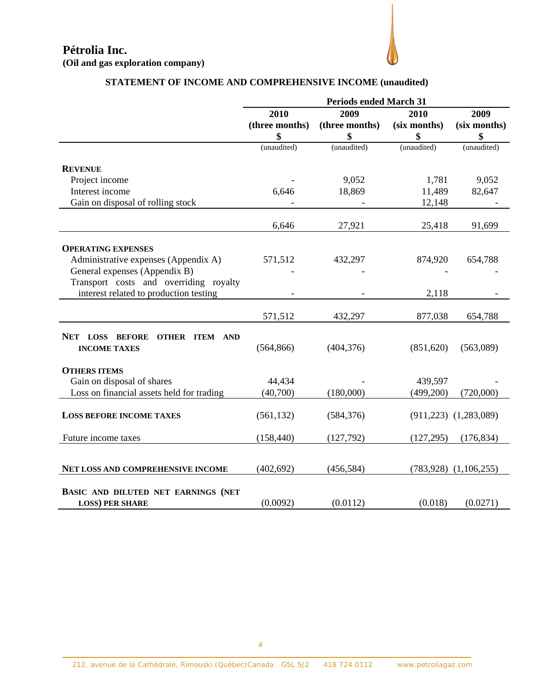

# **STATEMENT OF INCOME AND COMPREHENSIVE INCOME (unaudited)**

|                                                                 | <b>Periods ended March 31</b> |                |              |                           |
|-----------------------------------------------------------------|-------------------------------|----------------|--------------|---------------------------|
|                                                                 | 2009<br>2009<br>2010<br>2010  |                |              |                           |
|                                                                 | (three months)                | (three months) | (six months) | (six months)              |
|                                                                 | \$                            | \$             | \$           | \$                        |
|                                                                 | (unaudited)                   | (unaudited)    | (unaudited)  | (unaudited)               |
| <b>REVENUE</b>                                                  |                               |                |              |                           |
| Project income                                                  |                               | 9,052          | 1,781        | 9,052                     |
| Interest income                                                 | 6,646                         | 18,869         | 11,489       | 82,647                    |
| Gain on disposal of rolling stock                               |                               |                | 12,148       |                           |
|                                                                 |                               |                |              |                           |
|                                                                 | 6,646                         | 27,921         | 25,418       | 91,699                    |
| <b>OPERATING EXPENSES</b>                                       |                               |                |              |                           |
| Administrative expenses (Appendix A)                            | 571,512                       | 432,297        | 874,920      | 654,788                   |
| General expenses (Appendix B)                                   |                               |                |              |                           |
| Transport costs and overriding royalty                          |                               |                |              |                           |
| interest related to production testing                          |                               |                | 2,118        |                           |
|                                                                 |                               |                |              |                           |
|                                                                 | 571,512                       | 432,297        | 877,038      | 654,788                   |
|                                                                 |                               |                |              |                           |
| NET LOSS BEFORE<br><b>OTHER ITEM AND</b><br><b>INCOME TAXES</b> | (564, 866)                    | (404, 376)     | (851,620)    | (563,089)                 |
|                                                                 |                               |                |              |                           |
| <b>OTHERS ITEMS</b>                                             |                               |                |              |                           |
| Gain on disposal of shares                                      | 44,434                        |                | 439,597      |                           |
| Loss on financial assets held for trading                       | (40,700)                      | (180,000)      | (499,200)    | (720,000)                 |
|                                                                 |                               |                |              |                           |
| <b>LOSS BEFORE INCOME TAXES</b>                                 | (561, 132)                    | (584, 376)     |              | $(911,223)$ $(1,283,089)$ |
|                                                                 |                               |                |              |                           |
| Future income taxes                                             | (158, 440)                    | (127,792)      | (127, 295)   | (176, 834)                |
|                                                                 |                               |                |              |                           |
| NET LOSS AND COMPREHENSIVE INCOME                               | (402, 692)                    | (456, 584)     |              | $(783,928)$ $(1,106,255)$ |
|                                                                 |                               |                |              |                           |
| BASIC AND DILUTED NET EARNINGS (NET                             |                               |                |              |                           |
| <b>LOSS) PER SHARE</b>                                          | (0.0092)                      | (0.0112)       | (0.018)      | (0.0271)                  |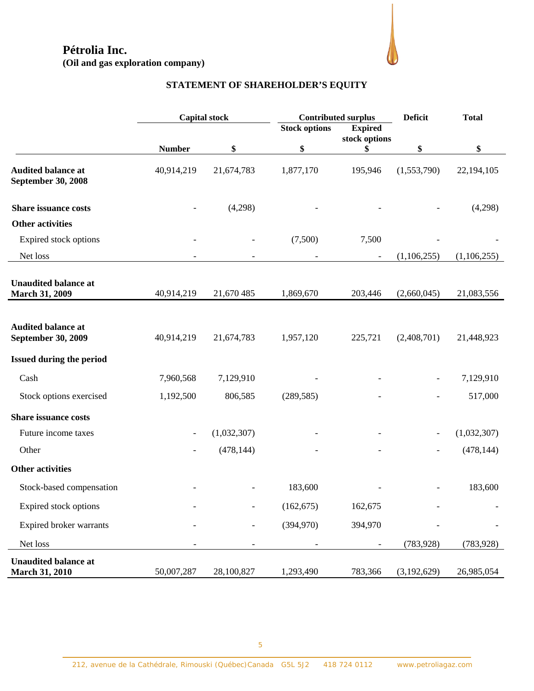**(Oil and gas exploration company)** 



# **STATEMENT OF SHAREHOLDER'S EQUITY**

|                                                        |               | <b>Contributed surplus</b><br><b>Capital stock</b> |                      |                                 | <b>Deficit</b>           | <b>Total</b> |
|--------------------------------------------------------|---------------|----------------------------------------------------|----------------------|---------------------------------|--------------------------|--------------|
|                                                        |               |                                                    | <b>Stock options</b> | <b>Expired</b><br>stock options |                          |              |
|                                                        | <b>Number</b> | \$                                                 | \$                   | \$                              | \$                       | \$           |
| <b>Audited balance at</b><br><b>September 30, 2008</b> | 40,914,219    | 21,674,783                                         | 1,877,170            | 195,946                         | (1,553,790)              | 22,194,105   |
| <b>Share issuance costs</b>                            |               | (4,298)                                            |                      |                                 |                          | (4,298)      |
| <b>Other activities</b>                                |               |                                                    |                      |                                 |                          |              |
| Expired stock options                                  |               |                                                    | (7,500)              | 7,500                           |                          |              |
| Net loss                                               |               |                                                    |                      |                                 | (1,106,255)              | (1,106,255)  |
| <b>Unaudited balance at</b><br><b>March 31, 2009</b>   | 40,914,219    | 21,670 485                                         | 1,869,670            | 203,446                         | (2,660,045)              | 21,083,556   |
|                                                        |               |                                                    |                      |                                 |                          |              |
| <b>Audited balance at</b><br><b>September 30, 2009</b> | 40,914,219    | 21,674,783                                         | 1,957,120            | 225,721                         | (2,408,701)              | 21,448,923   |
| <b>Issued during the period</b>                        |               |                                                    |                      |                                 |                          |              |
| Cash                                                   | 7,960,568     | 7,129,910                                          |                      |                                 |                          | 7,129,910    |
| Stock options exercised                                | 1,192,500     | 806,585                                            | (289, 585)           |                                 |                          | 517,000      |
| <b>Share issuance costs</b>                            |               |                                                    |                      |                                 |                          |              |
| Future income taxes                                    |               | (1,032,307)                                        |                      |                                 | $\overline{\phantom{a}}$ | (1,032,307)  |
| Other                                                  |               | (478, 144)                                         |                      |                                 |                          | (478, 144)   |
| <b>Other activities</b>                                |               |                                                    |                      |                                 |                          |              |
| Stock-based compensation                               |               |                                                    | 183,600              |                                 |                          | 183,600      |
| Expired stock options                                  |               |                                                    | (162, 675)           | 162,675                         |                          |              |
| Expired broker warrants                                |               |                                                    | (394,970)            | 394,970                         |                          |              |
| Net loss                                               |               |                                                    |                      |                                 | (783, 928)               | (783, 928)   |
| <b>Unaudited balance at</b><br><b>March 31, 2010</b>   | 50,007,287    | 28,100,827                                         | 1,293,490            | 783,366                         | (3,192,629)              | 26,985,054   |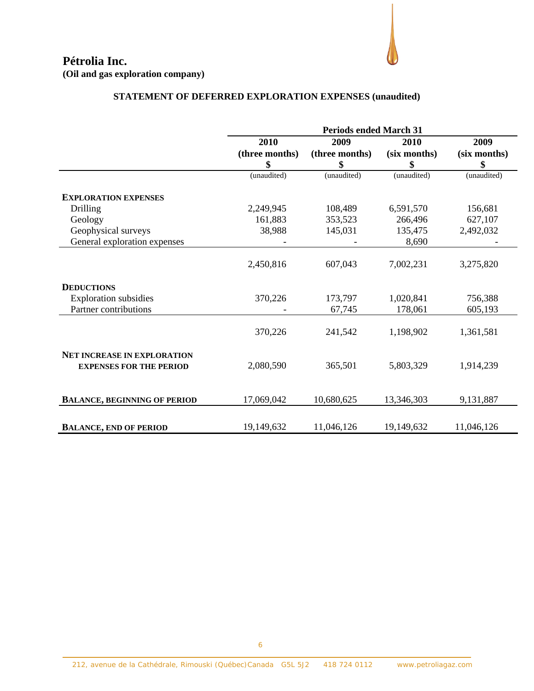

|                                                                      | <b>Periods ended March 31</b> |                |              |              |
|----------------------------------------------------------------------|-------------------------------|----------------|--------------|--------------|
|                                                                      | 2010                          | 2009           | 2010         | 2009         |
|                                                                      | (three months)                | (three months) | (six months) | (six months) |
|                                                                      | \$                            | \$             | \$           | \$           |
|                                                                      | (unaudited)                   | (unaudited)    | (unaudited)  | (unaudited)  |
| <b>EXPLORATION EXPENSES</b>                                          |                               |                |              |              |
| Drilling                                                             | 2,249,945                     | 108,489        | 6,591,570    | 156,681      |
| Geology                                                              | 161,883                       | 353,523        | 266,496      | 627,107      |
| Geophysical surveys                                                  | 38,988                        | 145,031        | 135,475      | 2,492,032    |
| General exploration expenses                                         |                               |                | 8,690        |              |
|                                                                      | 2,450,816                     | 607,043        | 7,002,231    | 3,275,820    |
| <b>DEDUCTIONS</b>                                                    |                               |                |              |              |
| <b>Exploration</b> subsidies                                         | 370,226                       | 173,797        | 1,020,841    | 756,388      |
| Partner contributions                                                |                               | 67,745         | 178,061      | 605,193      |
|                                                                      | 370,226                       | 241,542        | 1,198,902    | 1,361,581    |
| <b>NET INCREASE IN EXPLORATION</b><br><b>EXPENSES FOR THE PERIOD</b> | 2,080,590                     | 365,501        | 5,803,329    | 1,914,239    |
| <b>BALANCE, BEGINNING OF PERIOD</b>                                  | 17,069,042                    | 10,680,625     | 13,346,303   | 9,131,887    |
| <b>BALANCE, END OF PERIOD</b>                                        | 19,149,632                    | 11,046,126     | 19,149,632   | 11,046,126   |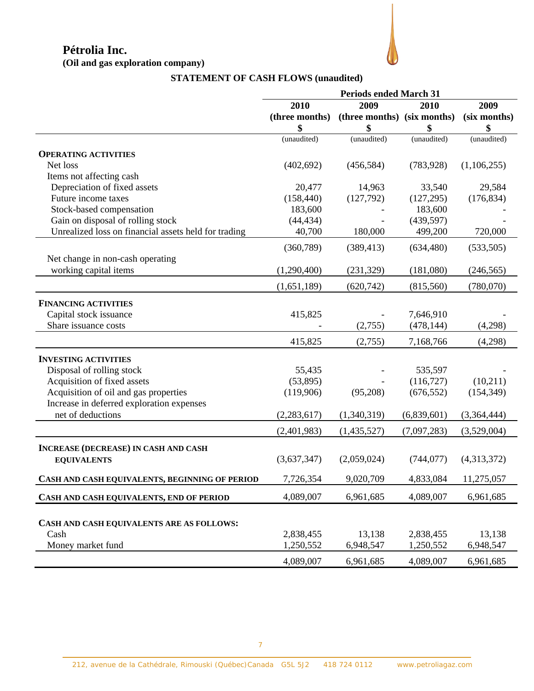**(Oil and gas exploration company)** 



# **STATEMENT OF CASH FLOWS (unaudited)**

|                                                      | <b>Periods ended March 31</b> |                             |             |              |
|------------------------------------------------------|-------------------------------|-----------------------------|-------------|--------------|
|                                                      | 2010                          | 2009                        | 2010        | 2009         |
|                                                      | (three months)                | (three months) (six months) |             | (six months) |
|                                                      | \$                            | \$                          | \$          | \$           |
|                                                      | (unaudited)                   | (unaudited)                 | (unaudited) | (unaudited)  |
| <b>OPERATING ACTIVITIES</b>                          |                               |                             |             |              |
| Net loss                                             | (402, 692)                    | (456, 584)                  | (783, 928)  | (1,106,255)  |
| Items not affecting cash                             |                               |                             |             |              |
| Depreciation of fixed assets                         | 20,477                        | 14,963                      | 33,540      | 29,584       |
| Future income taxes                                  | (158, 440)                    | (127,792)                   | (127, 295)  | (176, 834)   |
| Stock-based compensation                             | 183,600                       |                             | 183,600     |              |
| Gain on disposal of rolling stock                    | (44, 434)                     |                             | (439, 597)  |              |
| Unrealized loss on financial assets held for trading | 40,700                        | 180,000                     | 499,200     | 720,000      |
|                                                      | (360, 789)                    | (389, 413)                  | (634, 480)  | (533,505)    |
| Net change in non-cash operating                     |                               |                             |             |              |
| working capital items                                | (1,290,400)                   | (231, 329)                  | (181,080)   | (246, 565)   |
|                                                      | (1,651,189)                   | (620, 742)                  | (815,560)   | (780,070)    |
| <b>FINANCING ACTIVITIES</b>                          |                               |                             |             |              |
| Capital stock issuance                               | 415,825                       |                             | 7,646,910   |              |
| Share issuance costs                                 |                               | (2,755)                     | (478, 144)  | (4,298)      |
|                                                      | 415,825                       | (2,755)                     | 7,168,766   | (4,298)      |
|                                                      |                               |                             |             |              |
| <b>INVESTING ACTIVITIES</b>                          |                               |                             |             |              |
| Disposal of rolling stock                            | 55,435                        |                             | 535,597     |              |
| Acquisition of fixed assets                          | (53,895)                      |                             | (116, 727)  | (10,211)     |
| Acquisition of oil and gas properties                | (119,906)                     | (95,208)                    | (676, 552)  | (154, 349)   |
| Increase in deferred exploration expenses            |                               |                             |             |              |
| net of deductions                                    | (2, 283, 617)                 | (1,340,319)                 | (6,839,601) | (3,364,444)  |
|                                                      | (2,401,983)                   | (1,435,527)                 | (7,097,283) | (3,529,004)  |
| <b>INCREASE (DECREASE) IN CASH AND CASH</b>          |                               |                             |             |              |
| <b>EQUIVALENTS</b>                                   | (3,637,347)                   | (2,059,024)                 | (744, 077)  | (4,313,372)  |
| CASH AND CASH EQUIVALENTS, BEGINNING OF PERIOD       | 7,726,354                     | 9,020,709                   | 4,833,084   | 11,275,057   |
| CASH AND CASH EQUIVALENTS, END OF PERIOD             | 4,089,007                     | 6,961,685                   | 4,089,007   | 6,961,685    |
|                                                      |                               |                             |             |              |
|                                                      |                               |                             |             |              |
| CASH AND CASH EQUIVALENTS ARE AS FOLLOWS:            |                               |                             |             |              |
| Cash                                                 | 2,838,455                     | 13,138                      | 2,838,455   | 13,138       |
| Money market fund                                    | 1,250,552                     | 6,948,547                   | 1,250,552   | 6,948,547    |
|                                                      | 4,089,007                     | 6,961,685                   | 4,089,007   | 6,961,685    |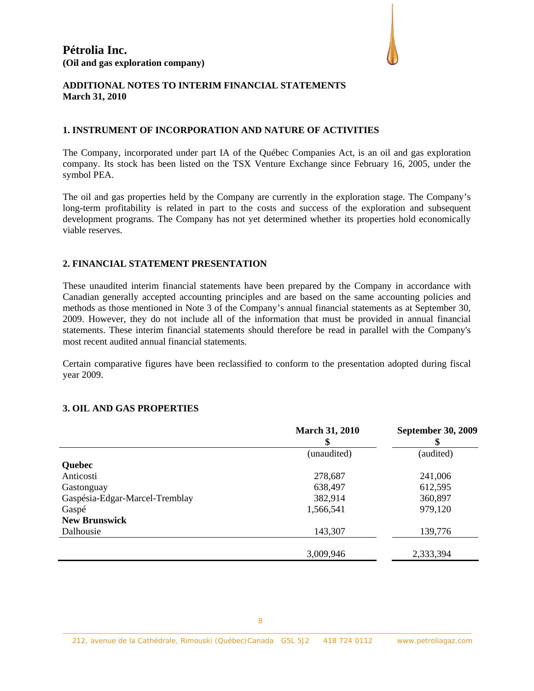

#### **ADDITIONAL NOTES TO INTERIM FINANCIAL STATEMENTS March 31, 2010**

# **1. INSTRUMENT OF INCORPORATION AND NATURE OF ACTIVITIES**

The Company, incorporated under part IA of the Québec Companies Act, is an oil and gas exploration company. Its stock has been listed on the TSX Venture Exchange since February 16, 2005, under the symbol PEA.

The oil and gas properties held by the Company are currently in the exploration stage. The Company's long-term profitability is related in part to the costs and success of the exploration and subsequent development programs. The Company has not yet determined whether its properties hold economically viable reserves.

#### **2. FINANCIAL STATEMENT PRESENTATION**

These unaudited interim financial statements have been prepared by the Company in accordance with Canadian generally accepted accounting principles and are based on the same accounting policies and methods as those mentioned in Note 3 of the Company's annual financial statements as at September 30, 2009. However, they do not include all of the information that must be provided in annual financial statements. These interim financial statements should therefore be read in parallel with the Company's most recent audited annual financial statements.

Certain comparative figures have been reclassified to conform to the presentation adopted during fiscal year 2009.

#### **3. OIL AND GAS PROPERTIES**

|                                | <b>March 31, 2010</b> | <b>September 30, 2009</b> |
|--------------------------------|-----------------------|---------------------------|
|                                | (unaudited)           | (audited)                 |
| <b>Quebec</b>                  |                       |                           |
| Anticosti                      | 278,687               | 241,006                   |
| Gastonguay                     | 638,497               | 612,595                   |
| Gaspésia-Edgar-Marcel-Tremblay | 382,914               | 360,897                   |
| Gaspé                          | 1,566,541             | 979,120                   |
| <b>New Brunswick</b>           |                       |                           |
| Dalhousie                      | 143,307               | 139,776                   |
|                                |                       |                           |
|                                | 3,009,946             | 2,333,394                 |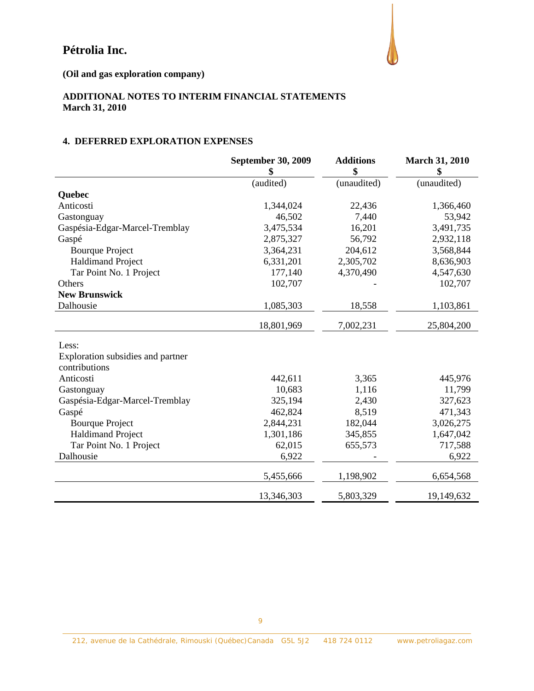

**(Oil and gas exploration company)** 

# **ADDITIONAL NOTES TO INTERIM FINANCIAL STATEMENTS March 31, 2010**

# **4. DEFERRED EXPLORATION EXPENSES**

|                                   | <b>September 30, 2009</b><br>\$ | <b>Additions</b><br>\$ | <b>March 31, 2010</b><br>\$ |
|-----------------------------------|---------------------------------|------------------------|-----------------------------|
|                                   | (audited)                       | (unaudited)            | (unaudited)                 |
| Quebec                            |                                 |                        |                             |
| Anticosti                         | 1,344,024                       | 22,436                 | 1,366,460                   |
| Gastonguay                        | 46,502                          | 7,440                  | 53,942                      |
| Gaspésia-Edgar-Marcel-Tremblay    | 3,475,534                       | 16,201                 | 3,491,735                   |
| Gaspé                             | 2,875,327                       | 56,792                 | 2,932,118                   |
| <b>Bourque Project</b>            | 3,364,231                       | 204,612                | 3,568,844                   |
| <b>Haldimand Project</b>          | 6,331,201                       | 2,305,702              | 8,636,903                   |
| Tar Point No. 1 Project           | 177,140                         | 4,370,490              | 4,547,630                   |
| Others                            | 102,707                         |                        | 102,707                     |
| <b>New Brunswick</b>              |                                 |                        |                             |
| Dalhousie                         | 1,085,303                       | 18,558                 | 1,103,861                   |
|                                   | 18,801,969                      | 7,002,231              | 25,804,200                  |
| Less:                             |                                 |                        |                             |
| Exploration subsidies and partner |                                 |                        |                             |
| contributions                     |                                 |                        |                             |
| Anticosti                         | 442,611                         | 3,365                  | 445,976                     |
| Gastonguay                        | 10,683                          | 1,116                  | 11,799                      |
| Gaspésia-Edgar-Marcel-Tremblay    | 325,194                         | 2,430                  | 327,623                     |
| Gaspé                             | 462,824                         | 8,519                  | 471,343                     |
| <b>Bourque Project</b>            | 2,844,231                       | 182,044                | 3,026,275                   |
| <b>Haldimand Project</b>          | 1,301,186                       | 345,855                | 1,647,042                   |
| Tar Point No. 1 Project           | 62,015                          | 655,573                | 717,588                     |
| Dalhousie                         | 6,922                           |                        | 6,922                       |
|                                   | 5,455,666                       | 1,198,902              | 6,654,568                   |
|                                   | 13,346,303                      | 5,803,329              | 19,149,632                  |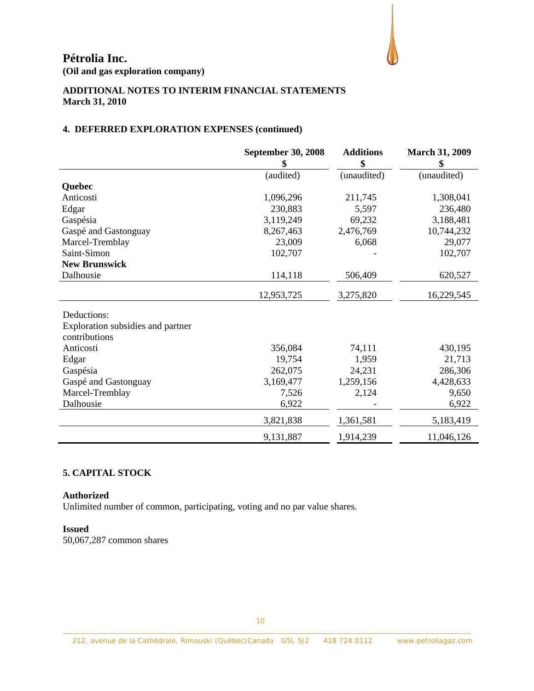

**(Oil and gas exploration company)** 

# **ADDITIONAL NOTES TO INTERIM FINANCIAL STATEMENTS March 31, 2010**

# **4. DEFERRED EXPLORATION EXPENSES (continued)**

|                                   | <b>September 30, 2008</b> | <b>Additions</b> | <b>March 31, 2009</b> |
|-----------------------------------|---------------------------|------------------|-----------------------|
|                                   | \$                        | \$               | \$                    |
|                                   | (audited)                 | (unaudited)      | (unaudited)           |
| Quebec                            |                           |                  |                       |
| Anticosti                         | 1,096,296                 | 211,745          | 1,308,041             |
| Edgar                             | 230,883                   | 5,597            | 236,480               |
| Gaspésia                          | 3,119,249                 | 69,232           | 3,188,481             |
| Gaspé and Gastonguay              | 8,267,463                 | 2,476,769        | 10,744,232            |
| Marcel-Tremblay                   | 23,009                    | 6,068            | 29,077                |
| Saint-Simon                       | 102,707                   |                  | 102,707               |
| <b>New Brunswick</b>              |                           |                  |                       |
| Dalhousie                         | 114,118                   | 506,409          | 620,527               |
|                                   | 12,953,725                | 3,275,820        | 16,229,545            |
| Deductions:                       |                           |                  |                       |
| Exploration subsidies and partner |                           |                  |                       |
| contributions                     |                           |                  |                       |
| Anticosti                         | 356,084                   | 74,111           | 430,195               |
| Edgar                             | 19,754                    | 1,959            | 21,713                |
| Gaspésia                          | 262,075                   | 24,231           | 286,306               |
|                                   | 3,169,477                 |                  | 4,428,633             |
| Gaspé and Gastonguay              |                           | 1,259,156        |                       |
| Marcel-Tremblay                   | 7,526                     | 2,124            | 9,650                 |
| Dalhousie                         | 6,922                     |                  | 6,922                 |
|                                   | 3,821,838                 | 1,361,581        | 5,183,419             |
|                                   | 9,131,887                 | 1,914,239        | 11,046,126            |

# **5. CAPITAL STOCK**

#### **Authorized**

Unlimited number of common, participating, voting and no par value shares.

#### **Issued**

50,067,287 common shares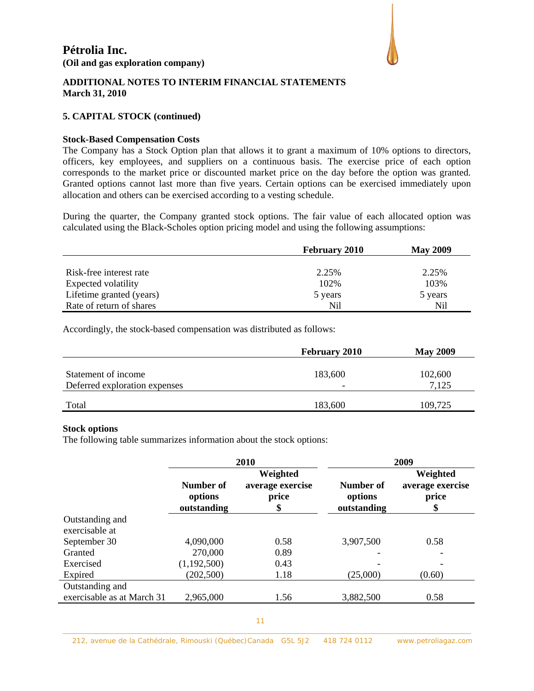

# **ADDITIONAL NOTES TO INTERIM FINANCIAL STATEMENTS March 31, 2010**

# **5. CAPITAL STOCK (continued)**

#### **Stock-Based Compensation Costs**

The Company has a Stock Option plan that allows it to grant a maximum of 10% options to directors, officers, key employees, and suppliers on a continuous basis. The exercise price of each option corresponds to the market price or discounted market price on the day before the option was granted. Granted options cannot last more than five years. Certain options can be exercised immediately upon allocation and others can be exercised according to a vesting schedule.

During the quarter, the Company granted stock options. The fair value of each allocated option was calculated using the Black-Scholes option pricing model and using the following assumptions:

|                          | <b>February 2010</b> | <b>May 2009</b> |
|--------------------------|----------------------|-----------------|
|                          |                      |                 |
| Risk-free interest rate  | 2.25%                | 2.25%           |
| Expected volatility      | 102\%                | 103%            |
| Lifetime granted (years) | 5 years              | 5 years         |
| Rate of return of shares | Nil                  | Nil             |

Accordingly, the stock-based compensation was distributed as follows:

|                                                      | <b>February 2010</b>     | <b>May 2009</b> |
|------------------------------------------------------|--------------------------|-----------------|
| Statement of income<br>Deferred exploration expenses | 183,600                  | 102,600         |
|                                                      | $\overline{\phantom{0}}$ | 7,125           |
| Total                                                | 183,600                  | 109,725         |

# **Stock options**

The following table summarizes information about the stock options:

|                                   | 2010                                |                                             | 2009                                |                                             |  |
|-----------------------------------|-------------------------------------|---------------------------------------------|-------------------------------------|---------------------------------------------|--|
|                                   | Number of<br>options<br>outstanding | Weighted<br>average exercise<br>price<br>\$ | Number of<br>options<br>outstanding | Weighted<br>average exercise<br>price<br>\$ |  |
| Outstanding and<br>exercisable at |                                     |                                             |                                     |                                             |  |
| September 30                      | 4,090,000                           | 0.58                                        | 3,907,500                           | 0.58                                        |  |
| Granted                           | 270,000                             | 0.89                                        |                                     |                                             |  |
| Exercised                         | (1,192,500)                         | 0.43                                        |                                     |                                             |  |
| Expired                           | (202, 500)                          | 1.18                                        | (25,000)                            | (0.60)                                      |  |
| Outstanding and                   |                                     |                                             |                                     |                                             |  |
| exercisable as at March 31        | 2,965,000                           | 1.56                                        | 3,882,500                           | 0.58                                        |  |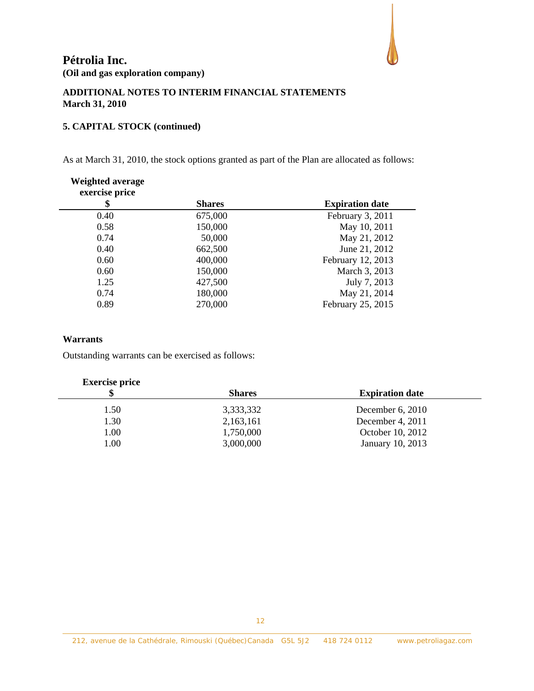

# **ADDITIONAL NOTES TO INTERIM FINANCIAL STATEMENTS March 31, 2010**

# **5. CAPITAL STOCK (continued)**

As at March 31, 2010, the stock options granted as part of the Plan are allocated as follows:

| <b>Weighted average</b><br>exercise price |               |                        |
|-------------------------------------------|---------------|------------------------|
| \$                                        | <b>Shares</b> | <b>Expiration date</b> |
| 0.40                                      | 675,000       | February 3, 2011       |
| 0.58                                      | 150,000       | May 10, 2011           |
| 0.74                                      | 50,000        | May 21, 2012           |
| 0.40                                      | 662,500       | June 21, 2012          |
| 0.60                                      | 400,000       | February 12, 2013      |
| 0.60                                      | 150,000       | March 3, 2013          |
| 1.25                                      | 427,500       | July 7, 2013           |
| 0.74                                      | 180,000       | May 21, 2014           |
| 0.89                                      | 270,000       | February 25, 2015      |

# **Warrants**

Outstanding warrants can be exercised as follows:

## **Exercise price**

| \$   | <b>Shares</b> | <b>Expiration date</b> |
|------|---------------|------------------------|
| 1.50 | 3,333,332     | December $6, 2010$     |
| 1.30 | 2,163,161     | December 4, 2011       |
| 1.00 | 1,750,000     | October 10, 2012       |
| 1.00 | 3,000,000     | January 10, 2013       |